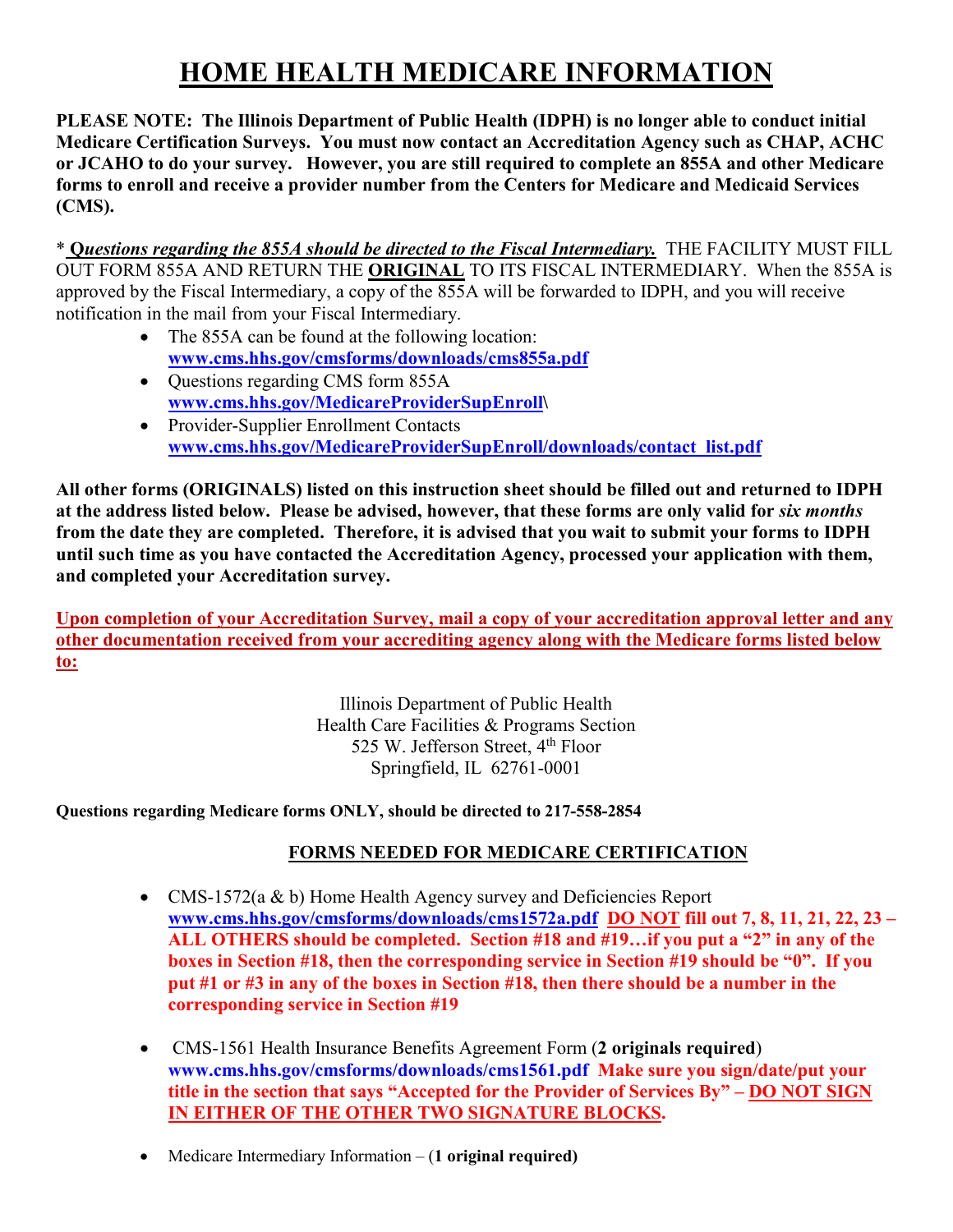# **HOME HEALTH MEDICARE INFORMATION**

**PLEASE NOTE: The Illinois Department of Public Health (IDPH) is no longer able to conduct initial Medicare Certification Surveys. You must now contact an Accreditation Agency such as CHAP, ACHC or JCAHO to do your survey. However, you are still required to complete an 855A and other Medicare forms to enroll and receive a provider number from the Centers for Medicare and Medicaid Services (CMS).** 

\* **Q***uestions regarding the 855A should be directed to the Fiscal Intermediary.* THE FACILITY MUST FILL OUT FORM 855A AND RETURN THE **ORIGINAL** TO ITS FISCAL INTERMEDIARY. When the 855A is approved by the Fiscal Intermediary, a copy of the 855A will be forwarded to IDPH, and you will receive notification in the mail from your Fiscal Intermediary.

- The 855A can be found at the following location: **[www.cms.hhs.gov/cmsforms/downloads/cms855a.pdf](http://www.cms.hhs.gov/cmsforms/downloads/cms855a.pdf)**
- Ouestions regarding CMS form 855A **[www.cms.hhs.gov/MedicareProviderSupEnroll\](http://www.cms.hhs.gov/MedicareProviderSupEnroll)**
- Provider-Supplier Enrollment Contacts **[www.cms.hhs.gov/MedicareProviderSupEnroll/downloads/contact\\_list.pdf](http://www.cms.hhs.gov/MedicareProviderSupEnroll/downloads/contact_list.pdf)**

**All other forms (ORIGINALS) listed on this instruction sheet should be filled out and returned to IDPH at the address listed below. Please be advised, however, that these forms are only valid for** *six months* **from the date they are completed. Therefore, it is advised that you wait to submit your forms to IDPH until such time as you have contacted the Accreditation Agency, processed your application with them, and completed your Accreditation survey.**

**Upon completion of your Accreditation Survey, mail a copy of your accreditation approval letter and any other documentation received from your accrediting agency along with the Medicare forms listed below to:**

> Illinois Department of Public Health Health Care Facilities & Programs Section 525 W. Jefferson Street,  $4<sup>th</sup>$  Floor Springfield, IL 62761-0001

**Questions regarding Medicare forms ONLY, should be directed to 217-558-2854**

## **FORMS NEEDED FOR MEDICARE CERTIFICATION**

- CMS-1572(a & b) Home Health Agency survey and Deficiencies Report **[www.cms.hhs.gov/cmsforms/downloads/cms1572a.pdf](http://www.cms.hhs.gov/cmsforms/downloads/cms1572a.pdf) DO NOT fill out 7, 8, 11, 21, 22, 23 – ALL OTHERS should be completed. Section #18 and #19…if you put a "2" in any of the boxes in Section #18, then the corresponding service in Section #19 should be "0". If you put #1 or #3 in any of the boxes in Section #18, then there should be a number in the corresponding service in Section #19**
- CMS-1561 Health Insurance Benefits Agreement Form (**2 originals required**) **[www.cms.hhs.gov/cmsforms/downloads/cms1561.pdf](http://www.cms.hhs.gov/cmsforms/downloads/cms1561.pdf) Make sure you sign/date/put your title in the section that says "Accepted for the Provider of Services By" – DO NOT SIGN IN EITHER OF THE OTHER TWO SIGNATURE BLOCKS.**
- Medicare Intermediary Information (**1 original required)**